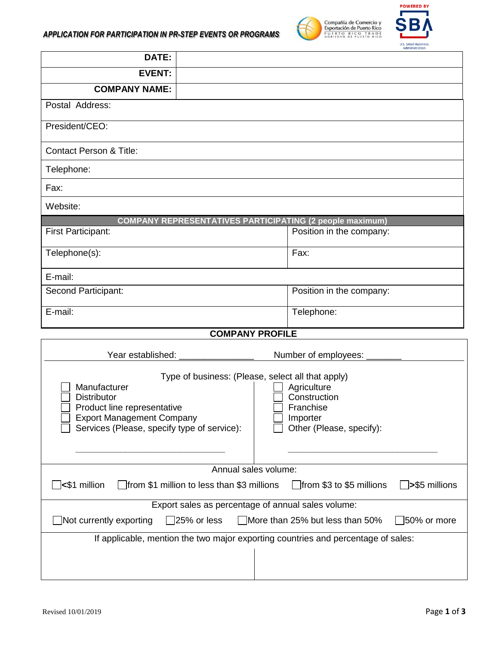



| DATE:                                                                                                                                                |                                                                 |                                                                                  |  |  |
|------------------------------------------------------------------------------------------------------------------------------------------------------|-----------------------------------------------------------------|----------------------------------------------------------------------------------|--|--|
| <b>EVENT:</b>                                                                                                                                        |                                                                 |                                                                                  |  |  |
| <b>COMPANY NAME:</b>                                                                                                                                 |                                                                 |                                                                                  |  |  |
| Postal Address:                                                                                                                                      |                                                                 |                                                                                  |  |  |
| President/CEO:                                                                                                                                       |                                                                 |                                                                                  |  |  |
| <b>Contact Person &amp; Title:</b>                                                                                                                   |                                                                 |                                                                                  |  |  |
| Telephone:                                                                                                                                           |                                                                 |                                                                                  |  |  |
| Fax:                                                                                                                                                 |                                                                 |                                                                                  |  |  |
| Website:                                                                                                                                             |                                                                 |                                                                                  |  |  |
|                                                                                                                                                      | <b>COMPANY REPRESENTATIVES PARTICIPATING (2 people maximum)</b> |                                                                                  |  |  |
| First Participant:                                                                                                                                   |                                                                 | Position in the company:                                                         |  |  |
| Telephone(s):                                                                                                                                        |                                                                 | Fax:                                                                             |  |  |
| E-mail:                                                                                                                                              |                                                                 |                                                                                  |  |  |
| Second Participant:                                                                                                                                  |                                                                 | Position in the company:                                                         |  |  |
| E-mail:                                                                                                                                              |                                                                 | Telephone:                                                                       |  |  |
| <b>COMPANY PROFILE</b>                                                                                                                               |                                                                 |                                                                                  |  |  |
|                                                                                                                                                      | Year established: _________________                             | Number of employees: _______                                                     |  |  |
| Manufacturer<br><b>Distributor</b><br>Product line representative<br><b>Export Management Company</b><br>Services (Please, specify type of service): | Type of business: (Please, select all that apply)               | Agriculture<br>Construction<br>Franchise<br>Importer<br>Other (Please, specify): |  |  |
| Annual sales volume:                                                                                                                                 |                                                                 |                                                                                  |  |  |
| $\exists$ <\$1 million<br>$\Box$ from \$1 million to less than \$3 millions<br>□ from \$3 to \$5 millions<br>S\$5 millions                           |                                                                 |                                                                                  |  |  |
| Export sales as percentage of annual sales volume:                                                                                                   |                                                                 |                                                                                  |  |  |
| Not currently exporting<br>25% or less<br>More than 25% but less than 50%<br>50% or more                                                             |                                                                 |                                                                                  |  |  |
| If applicable, mention the two major exporting countries and percentage of sales:                                                                    |                                                                 |                                                                                  |  |  |
|                                                                                                                                                      |                                                                 |                                                                                  |  |  |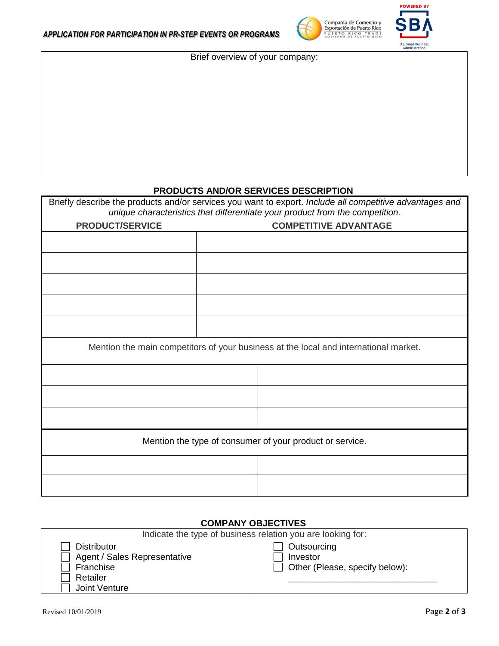



Brief overview of your company:

## **PRODUCTS AND/OR SERVICES DESCRIPTION**

| Briefly describe the products and/or services you want to export. Include all competitive advantages and<br>unique characteristics that differentiate your product from the competition. |                              |  |  |
|------------------------------------------------------------------------------------------------------------------------------------------------------------------------------------------|------------------------------|--|--|
| <b>PRODUCT/SERVICE</b>                                                                                                                                                                   | <b>COMPETITIVE ADVANTAGE</b> |  |  |
|                                                                                                                                                                                          |                              |  |  |
|                                                                                                                                                                                          |                              |  |  |
|                                                                                                                                                                                          |                              |  |  |
|                                                                                                                                                                                          |                              |  |  |
|                                                                                                                                                                                          |                              |  |  |
| Mention the main competitors of your business at the local and international market.                                                                                                     |                              |  |  |
|                                                                                                                                                                                          |                              |  |  |
|                                                                                                                                                                                          |                              |  |  |
|                                                                                                                                                                                          |                              |  |  |
| Mention the type of consumer of your product or service.                                                                                                                                 |                              |  |  |
|                                                                                                                                                                                          |                              |  |  |
|                                                                                                                                                                                          |                              |  |  |

## **COMPANY OBJECTIVES**

| Indicate the type of business relation you are looking for: |                                |  |  |
|-------------------------------------------------------------|--------------------------------|--|--|
| <b>Distributor</b>                                          | Outsourcing                    |  |  |
| Agent / Sales Representative                                | Investor                       |  |  |
| Franchise                                                   | Other (Please, specify below): |  |  |
| Retailer                                                    |                                |  |  |
| Joint Venture                                               |                                |  |  |